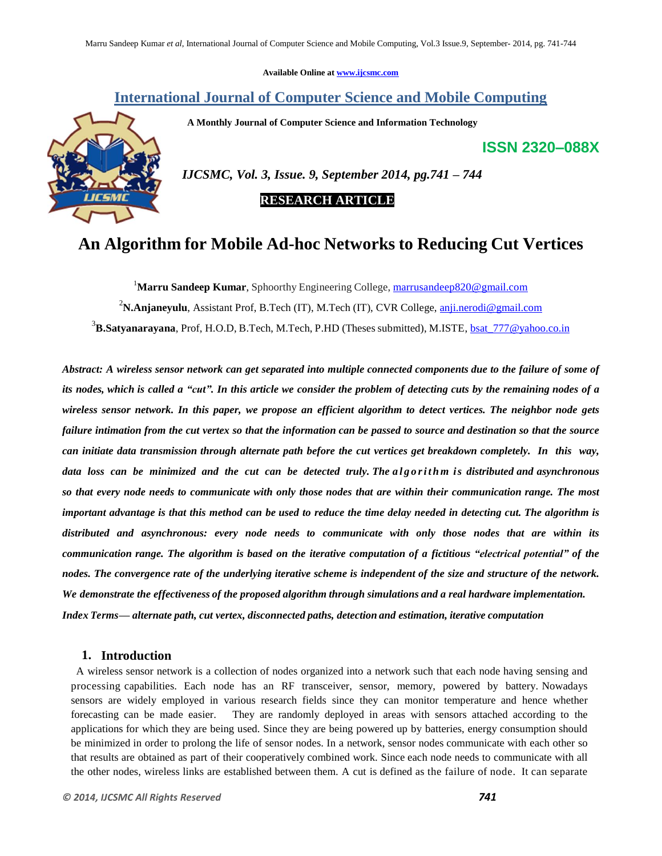**Available Online at [www.ijcsmc.com](http://www.ijcsmc.com/)**

# **International Journal of Computer Science and Mobile Computing**

 **A Monthly Journal of Computer Science and Information Technology**

**ISSN 2320–088X**



 *IJCSMC, Vol. 3, Issue. 9, September 2014, pg.741 – 744*

# **RESEARCH ARTICLE**

# **An Algorithm for Mobile Ad-hoc Networks to Reducing Cut Vertices**

<sup>1</sup>**Marru Sandeep Kumar**, Sphoorthy Engineering College, [marrusandeep820@gmail.com](mailto:marrusandeep820@gmail.com) <sup>2</sup>**N.Anjaneyulu**, Assistant Prof, B.Tech (IT), M.Tech (IT), CVR College, [anji.nerodi@gmail.com](mailto:anji.nerodi@gmail.com) <sup>3</sup>B.Satyanarayana, Prof, H.O.D, B.Tech, M.Tech, P.HD (Theses submitted), M.ISTE, **bsat\_777@yahoo.co.in** 

Abstract: A wireless sensor network can get separated into multiple connected components due to the failure of some of its nodes, which is called a "cut". In this article we consider the problem of detecting cuts by the remaining nodes of a *wireless sensor network. In this paper, we propose an efficient algorithm to detect vertices. The neighbor node gets* failure intimation from the cut vertex so that the information can be passed to source and destination so that the source *can initiate data transmission through alternate path before the cut vertices get breakdown completely. In this way, data loss can be minimized and the cut can be detected truly. The a l g o r i t h m is distributed and asynchronous*  so that every node needs to communicate with only those nodes that are within their communication range. The most important advantage is that this method can be used to reduce the time delay needed in detecting cut. The algorithm is *distributed and asynchronous: every node needs to communicate with only those nodes that are within its* communication range. The algorithm is based on the iterative computation of a fictitious "electrical potential" of the nodes. The convergence rate of the underlying iterative scheme is independent of the size and structure of the network. *We demonstrate the effectiveness of the proposed algorithm through simulations and a real hardware implementation. Index Terms— alternate path, cut vertex, disconnected paths, detection and estimation, iterative computation*

## **1. Introduction**

A wireless sensor network is a collection of nodes organized into a network such that each node having sensing and processing capabilities. Each node has an RF transceiver, sensor, memory, powered by battery. Nowadays sensors are widely employed in various research fields since they can monitor temperature and hence whether forecasting can be made easier. They are randomly deployed in areas with sensors attached according to the applications for which they are being used. Since they are being powered up by batteries, energy consumption should be minimized in order to prolong the life of sensor nodes. In a network, sensor nodes communicate with each other so that results are obtained as part of their cooperatively combined work. Since each node needs to communicate with all the other nodes, wireless links are established between them. A cut is defined as the failure of node. It can separate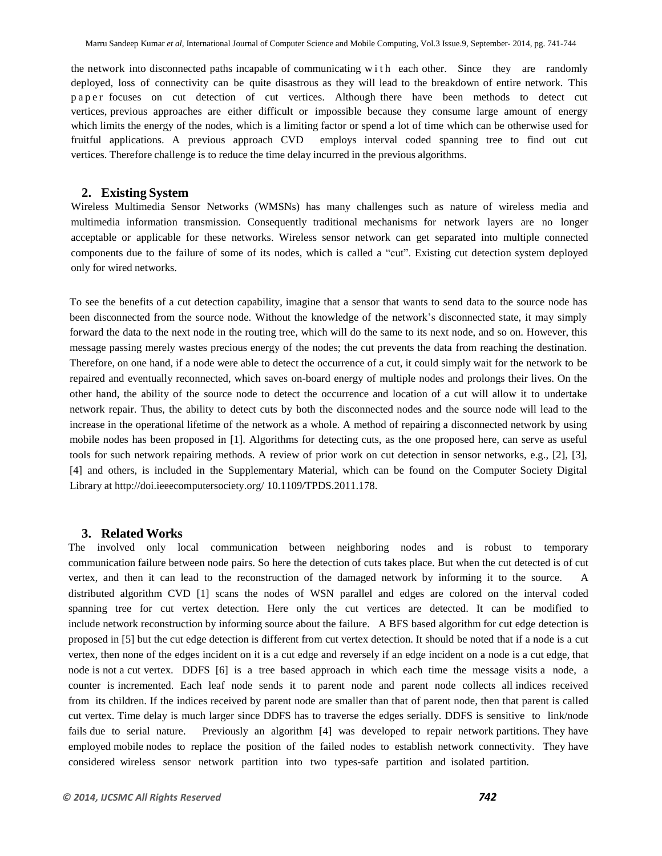the network into disconnected paths incapable of communicating w i t h each other. Since they are randomly deployed, loss of connectivity can be quite disastrous as they will lead to the breakdown of entire network. This paper focuses on cut detection of cut vertices. Although there have been methods to detect cut vertices, previous approaches are either difficult or impossible because they consume large amount of energy which limits the energy of the nodes, which is a limiting factor or spend a lot of time which can be otherwise used for fruitful applications. A previous approach CVD employs interval coded spanning tree to find out cut vertices. Therefore challenge is to reduce the time delay incurred in the previous algorithms.

#### **2. Existing System**

Wireless Multimedia Sensor Networks (WMSNs) has many challenges such as nature of wireless media and multimedia information transmission. Consequently traditional mechanisms for network layers are no longer acceptable or applicable for these networks. Wireless sensor network can get separated into multiple connected components due to the failure of some of its nodes, which is called a "cut". Existing cut detection system deployed only for wired networks.

To see the benefits of a cut detection capability, imagine that a sensor that wants to send data to the source node has been disconnected from the source node. Without the knowledge of the network's disconnected state, it may simply forward the data to the next node in the routing tree, which will do the same to its next node, and so on. However, this message passing merely wastes precious energy of the nodes; the cut prevents the data from reaching the destination. Therefore, on one hand, if a node were able to detect the occurrence of a cut, it could simply wait for the network to be repaired and eventually reconnected, which saves on-board energy of multiple nodes and prolongs their lives. On the other hand, the ability of the source node to detect the occurrence and location of a cut will allow it to undertake network repair. Thus, the ability to detect cuts by both the disconnected nodes and the source node will lead to the increase in the operational lifetime of the network as a whole. A method of repairing a disconnected network by using mobile nodes has been proposed in [1]. Algorithms for detecting cuts, as the one proposed here, can serve as useful tools for such network repairing methods. A review of prior work on cut detection in sensor networks, e.g., [2], [3], [4] and others, is included in the Supplementary Material, which can be found on the Computer Society Digital Library at <http://doi.ieeecomputersociety.org/> 10.1109/TPDS.2011.178.

#### **3. Related Works**

The involved only local communication between neighboring nodes and is robust to temporary communication failure between node pairs. So here the detection of cuts takes place. But when the cut detected is of cut vertex, and then it can lead to the reconstruction of the damaged network by informing it to the source. A distributed algorithm CVD [1] scans the nodes of WSN parallel and edges are colored on the interval coded spanning tree for cut vertex detection. Here only the cut vertices are detected. It can be modified to include network reconstruction by informing source about the failure. A BFS based algorithm for cut edge detection is proposed in [5] but the cut edge detection is different from cut vertex detection. It should be noted that if a node is a cut vertex, then none of the edges incident on it is a cut edge and reversely if an edge incident on a node is a cut edge, that node is not a cut vertex. DDFS [6] is a tree based approach in which each time the message visits a node, a counter is incremented. Each leaf node sends it to parent node and parent node collects all indices received from its children. If the indices received by parent node are smaller than that of parent node, then that parent is called cut vertex. Time delay is much larger since DDFS has to traverse the edges serially. DDFS is sensitive to link/node fails due to serial nature. Previously an algorithm [4] was developed to repair network partitions. They have employed mobile nodes to replace the position of the failed nodes to establish network connectivity. They have considered wireless sensor network partition into two types-safe partition and isolated partition.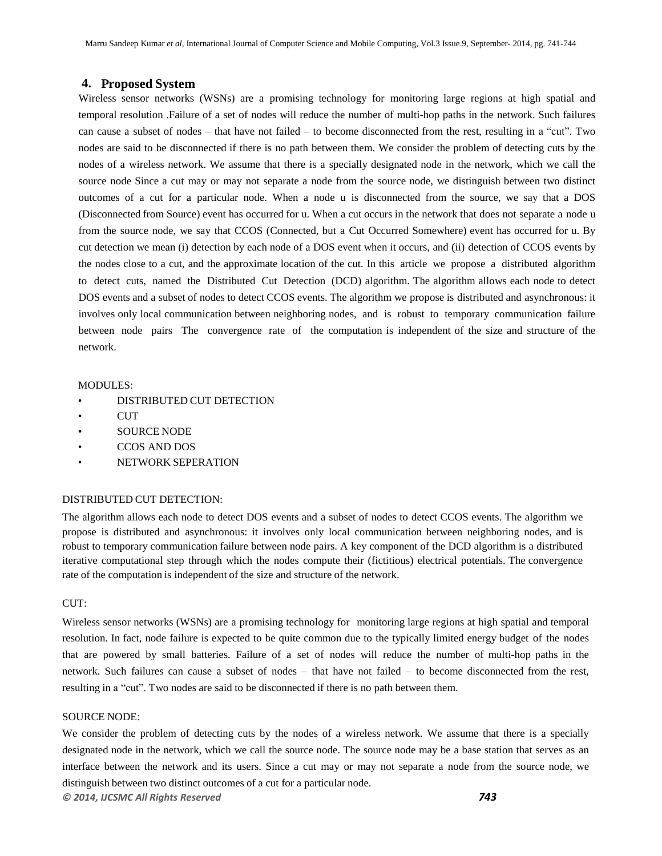### **4. Proposed System**

Wireless sensor networks (WSNs) are a promising technology for monitoring large regions at high spatial and temporal resolution .Failure of a set of nodes will reduce the number of multi-hop paths in the network. Such failures can cause a subset of nodes – that have not failed – to become disconnected from the rest, resulting in a "cut". Two nodes are said to be disconnected if there is no path between them. We consider the problem of detecting cuts by the nodes of a wireless network. We assume that there is a specially designated node in the network, which we call the source node Since a cut may or may not separate a node from the source node, we distinguish between two distinct outcomes of a cut for a particular node. When a node u is disconnected from the source, we say that a DOS (Disconnected from Source) event has occurred for u. When a cut occurs in the network that does not separate a node u from the source node, we say that CCOS (Connected, but a Cut Occurred Somewhere) event has occurred for u. By cut detection we mean (i) detection by each node of a DOS event when it occurs, and (ii) detection of CCOS events by the nodes close to a cut, and the approximate location of the cut. In this article we propose a distributed algorithm to detect cuts, named the Distributed Cut Detection (DCD) algorithm. The algorithm allows each node to detect DOS events and a subset of nodes to detect CCOS events. The algorithm we propose is distributed and asynchronous: it involves only local communication between neighboring nodes, and is robust to temporary communication failure between node pairs The convergence rate of the computation is independent of the size and structure of the network.

#### MODULES:

- DISTRIBUTED CUT DETECTION
- CUT
- SOURCE NODE
- CCOS AND DOS
- NETWORK SEPERATION

## DISTRIBUTED CUT DETECTION:

The algorithm allows each node to detect DOS events and a subset of nodes to detect CCOS events. The algorithm we propose is distributed and asynchronous: it involves only local communication between neighboring nodes, and is robust to temporary communication failure between node pairs. A key component of the DCD algorithm is a distributed iterative computational step through which the nodes compute their (fictitious) electrical potentials. The convergence rate of the computation is independent of the size and structure of the network.

#### CUT:

Wireless sensor networks (WSNs) are a promising technology for monitoring large regions at high spatial and temporal resolution. In fact, node failure is expected to be quite common due to the typically limited energy budget of the nodes that are powered by small batteries. Failure of a set of nodes will reduce the number of multi-hop paths in the network. Such failures can cause a subset of nodes – that have not failed – to become disconnected from the rest, resulting in a "cut". Two nodes are said to be disconnected if there is no path between them.

#### SOURCE NODE:

We consider the problem of detecting cuts by the nodes of a wireless network. We assume that there is a specially designated node in the network, which we call the source node. The source node may be a base station that serves as an interface between the network and its users. Since a cut may or may not separate a node from the source node, we distinguish between two distinct outcomes of a cut for a particular node.

*© 2014, IJCSMC All Rights Reserved 743*